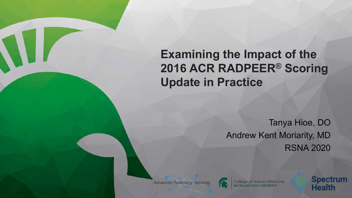**Examining the Impact of the 2016 ACR RADPEER**® **Scoring Update in Practice**

> Tanya Hioe, DO Andrew Kent Moriarity, MD RSNA 2020

College of Human Medicine



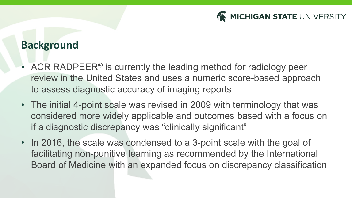

## **Background**

- ACR RADPEER® is currently the leading method for radiology peer review in the United States and uses a numeric score-based approach to assess diagnostic accuracy of imaging reports
- The initial 4-point scale was revised in 2009 with terminology that was considered more widely applicable and outcomes based with a focus on if a diagnostic discrepancy was "clinically significant"
- In 2016, the scale was condensed to a 3-point scale with the goal of facilitating non-punitive learning as recommended by the International Board of Medicine with an expanded focus on discrepancy classification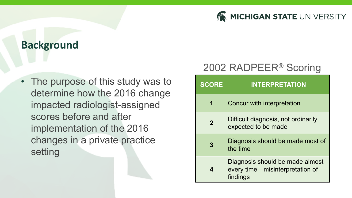

### **Background**

• The purpose of this study was to determine how the 2016 change impacted radiologist-assigned scores before and after implementation of the 2016 changes in a private practice setting

### 2002 RADPEER® Scoring

| <b>SCORE</b>   | <b>INTERPRETATION</b>                                                          |  |
|----------------|--------------------------------------------------------------------------------|--|
| 1              | Concur with interpretation                                                     |  |
| $\overline{2}$ | Difficult diagnosis, not ordinarily<br>expected to be made                     |  |
| 3              | Diagnosis should be made most of<br>the time                                   |  |
|                | Diagnosis should be made almost<br>every time—misinterpretation of<br>findings |  |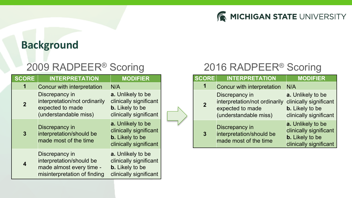

### **Background**

## 2009 RADPEER® Scoring

| <b>SCORE</b>   | <b>INTERPRETATION</b>                                                                                  | <b>MODIFIER</b>                                                                                 | <b>SCORE</b>   | <b>INTE</b>                                           |
|----------------|--------------------------------------------------------------------------------------------------------|-------------------------------------------------------------------------------------------------|----------------|-------------------------------------------------------|
| 1              | Concur with interpretation                                                                             | N/A                                                                                             | 1              | <b>Concur v</b>                                       |
| $\overline{2}$ | Discrepancy in<br>interpretation/not ordinarily<br>expected to made<br>(understandable miss)           | a. Unlikely to be<br>clinically significant<br><b>b.</b> Likely to be<br>clinically significant | $\overline{2}$ | <b>Discrepa</b><br>interpret<br>expected<br>(understa |
| $\overline{3}$ | Discrepancy in<br>interpretation/should be<br>made most of the time                                    | a. Unlikely to be<br>clinically significant<br><b>b.</b> Likely to be<br>clinically significant | 3              | <b>Discrepa</b><br>interpret<br>made m                |
| 4              | Discrepancy in<br>interpretation/should be<br>made almost every time -<br>misinterpretation of finding | a. Unlikely to be<br>clinically significant<br><b>b.</b> Likely to be<br>clinically significant |                |                                                       |

## 2016 RADPEER® Scoring

| <b>SCORE</b>                                                                                                   | <b>INTERPRETATION</b>                                               | <b>MODIFIER</b>                                                                                 |
|----------------------------------------------------------------------------------------------------------------|---------------------------------------------------------------------|-------------------------------------------------------------------------------------------------|
|                                                                                                                | Concur with interpretation                                          | N/A                                                                                             |
| Discrepancy in<br>interpretation/not ordinarily<br>$\overline{2}$<br>expected to made<br>(understandable miss) |                                                                     | a. Unlikely to be<br>clinically significant<br><b>b.</b> Likely to be<br>clinically significant |
| 3                                                                                                              | Discrepancy in<br>interpretation/should be<br>made most of the time | a. Unlikely to be<br>clinically significant<br><b>b.</b> Likely to be<br>clinically significant |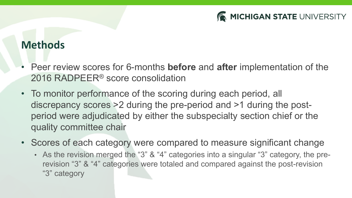

### **Methods**

- Peer review scores for 6-months **before** and **after** implementation of the 2016 RADPEER® score consolidation
- To monitor performance of the scoring during each period, all discrepancy scores >2 during the pre-period and >1 during the postperiod were adjudicated by either the subspecialty section chief or the quality committee chair
- Scores of each category were compared to measure significant change
	- As the revision merged the "3" & "4" categories into a singular "3" category, the prerevision "3" & "4" categories were totaled and compared against the post-revision "3" category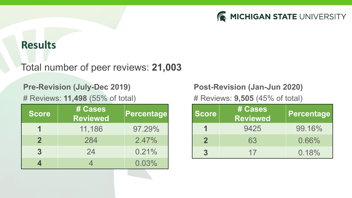

#### **Results**

#### Total number of peer reviews: **21,003**

#### **Pre-Revision (July-Dec 2019)**

# Reviews: **11,498** (55% of total)

| <b>Score</b> | # Cases<br><b>Reviewed</b> | Percentage |
|--------------|----------------------------|------------|
|              | 11,186                     | 97.29%     |
| $\mathbf{2}$ | 284                        | 2.47%      |
| 3            | 24                         | 0.21%      |
|              |                            | 0.03%      |

#### **Post-Revision (Jan-Jun 2020)**

# Reviews: **9,505** (45% of total)

| <b>Score</b> | # Cases<br><b>Reviewed</b> | Percentage |
|--------------|----------------------------|------------|
|              | 9425                       | 99.16%     |
| $\mathbf{2}$ | 63                         | 0.66%      |
|              | 17                         | 0.18%      |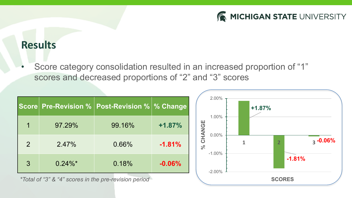

### **Results**

• Score category consolidation resulted in an increased proportion of "1" scores and decreased proportions of "2" and "3" scores

|   |            | Score Pre-Revision %   Post-Revision %   % Change |          |
|---|------------|---------------------------------------------------|----------|
| 1 | 97.29%     | 99.16%                                            | $+1.87%$ |
| 2 | 2.47%      | 0.66%                                             | $-1.81%$ |
| 3 | $0.24\%$ * | 0.18%                                             | $-0.06%$ |

*\*Total of "3" & "4" scores in the pre-revision period*

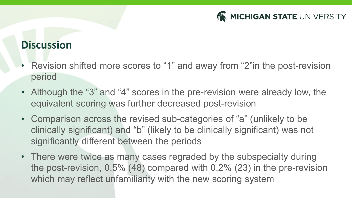

## **Discussion**

- Revision shifted more scores to "1" and away from "2"in the post-revision period
- Although the "3" and "4" scores in the pre-revision were already low, the equivalent scoring was further decreased post-revision
- Comparison across the revised sub-categories of "a" (unlikely to be clinically significant) and "b" (likely to be clinically significant) was not significantly different between the periods
- There were twice as many cases regraded by the subspecialty during the post-revision, 0.5% (48) compared with 0.2% (23) in the pre-revision which may reflect unfamiliarity with the new scoring system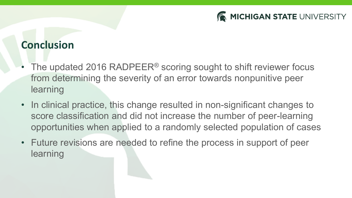

## **Conclusion**

- The updated 2016 RADPEER<sup>®</sup> scoring sought to shift reviewer focus from determining the severity of an error towards nonpunitive peer learning
- In clinical practice, this change resulted in non-significant changes to score classification and did not increase the number of peer-learning opportunities when applied to a randomly selected population of cases
- Future revisions are needed to refine the process in support of peer learning